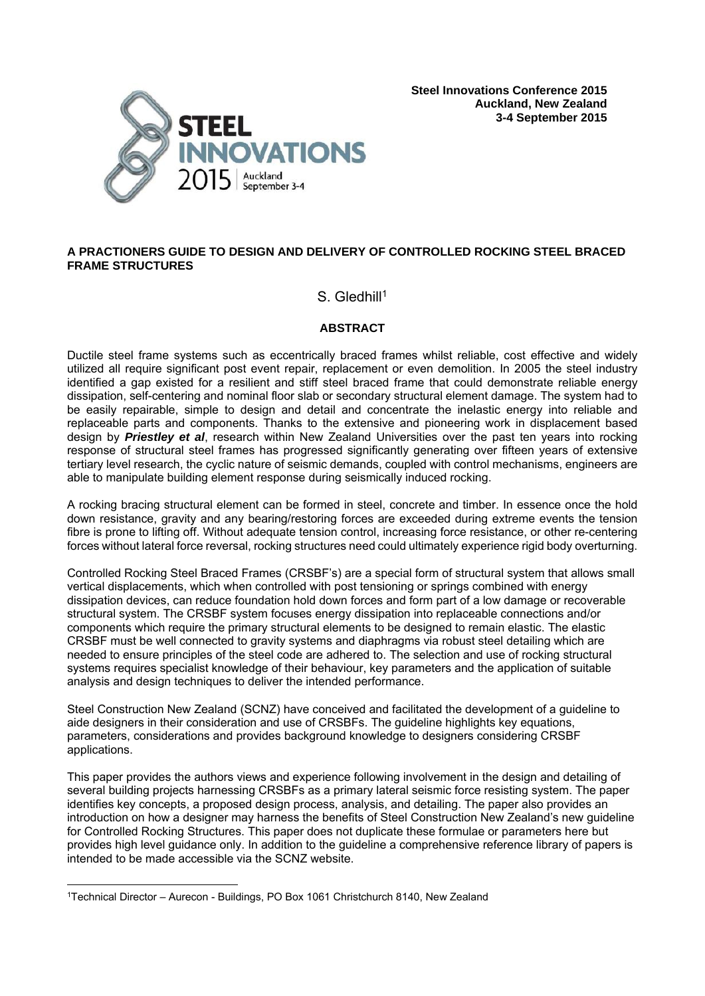

**Steel Innovations Conference 2015 Auckland, New Zealand 3-4 September 2015**

# **A PRACTIONERS GUIDE TO DESIGN AND DELIVERY OF CONTROLLED ROCKING STEEL BRACED FRAME STRUCTURES**

# S. Gledhill<sup>1</sup>

# **ABSTRACT**

Ductile steel frame systems such as eccentrically braced frames whilst reliable, cost effective and widely utilized all require significant post event repair, replacement or even demolition. In 2005 the steel industry identified a gap existed for a resilient and stiff steel braced frame that could demonstrate reliable energy dissipation, self-centering and nominal floor slab or secondary structural element damage. The system had to be easily repairable, simple to design and detail and concentrate the inelastic energy into reliable and replaceable parts and components. Thanks to the extensive and pioneering work in displacement based design by *Priestley et al*, research within New Zealand Universities over the past ten years into rocking response of structural steel frames has progressed significantly generating over fifteen years of extensive tertiary level research, the cyclic nature of seismic demands, coupled with control mechanisms, engineers are able to manipulate building element response during seismically induced rocking.

A rocking bracing structural element can be formed in steel, concrete and timber. In essence once the hold down resistance, gravity and any bearing/restoring forces are exceeded during extreme events the tension fibre is prone to lifting off. Without adequate tension control, increasing force resistance, or other re-centering forces without lateral force reversal, rocking structures need could ultimately experience rigid body overturning.

Controlled Rocking Steel Braced Frames (CRSBF's) are a special form of structural system that allows small vertical displacements, which when controlled with post tensioning or springs combined with energy dissipation devices, can reduce foundation hold down forces and form part of a low damage or recoverable structural system. The CRSBF system focuses energy dissipation into replaceable connections and/or components which require the primary structural elements to be designed to remain elastic. The elastic CRSBF must be well connected to gravity systems and diaphragms via robust steel detailing which are needed to ensure principles of the steel code are adhered to. The selection and use of rocking structural systems requires specialist knowledge of their behaviour, key parameters and the application of suitable analysis and design techniques to deliver the intended performance.

Steel Construction New Zealand (SCNZ) have conceived and facilitated the development of a guideline to aide designers in their consideration and use of CRSBFs. The guideline highlights key equations, parameters, considerations and provides background knowledge to designers considering CRSBF applications.

This paper provides the authors views and experience following involvement in the design and detailing of several building projects harnessing CRSBFs as a primary lateral seismic force resisting system. The paper identifies key concepts, a proposed design process, analysis, and detailing. The paper also provides an introduction on how a designer may harness the benefits of Steel Construction New Zealand's new guideline for Controlled Rocking Structures. This paper does not duplicate these formulae or parameters here but provides high level guidance only. In addition to the guideline a comprehensive reference library of papers is intended to be made accessible via the SCNZ website.

<sup>1</sup>Technical Director – Aurecon - Buildings, PO Box 1061 Christchurch 8140, New Zealand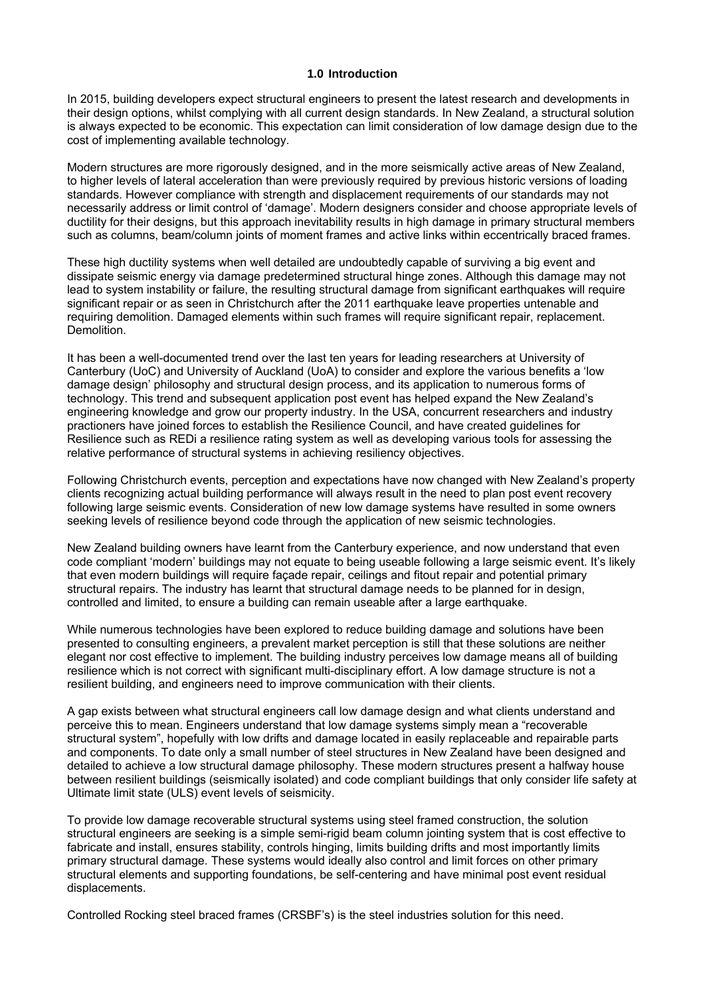### **1.0 Introduction**

In 2015, building developers expect structural engineers to present the latest research and developments in their design options, whilst complying with all current design standards. In New Zealand, a structural solution is always expected to be economic. This expectation can limit consideration of low damage design due to the cost of implementing available technology.

Modern structures are more rigorously designed, and in the more seismically active areas of New Zealand, to higher levels of lateral acceleration than were previously required by previous historic versions of loading standards. However compliance with strength and displacement requirements of our standards may not necessarily address or limit control of 'damage'. Modern designers consider and choose appropriate levels of ductility for their designs, but this approach inevitability results in high damage in primary structural members such as columns, beam/column joints of moment frames and active links within eccentrically braced frames.

These high ductility systems when well detailed are undoubtedly capable of surviving a big event and dissipate seismic energy via damage predetermined structural hinge zones. Although this damage may not lead to system instability or failure, the resulting structural damage from significant earthquakes will require significant repair or as seen in Christchurch after the 2011 earthquake leave properties untenable and requiring demolition. Damaged elements within such frames will require significant repair, replacement. Demolition.

It has been a well-documented trend over the last ten years for leading researchers at University of Canterbury (UoC) and University of Auckland (UoA) to consider and explore the various benefits a 'low damage design' philosophy and structural design process, and its application to numerous forms of technology. This trend and subsequent application post event has helped expand the New Zealand's engineering knowledge and grow our property industry. In the USA, concurrent researchers and industry practioners have joined forces to establish the Resilience Council, and have created guidelines for Resilience such as REDi a resilience rating system as well as developing various tools for assessing the relative performance of structural systems in achieving resiliency objectives.

Following Christchurch events, perception and expectations have now changed with New Zealand's property clients recognizing actual building performance will always result in the need to plan post event recovery following large seismic events. Consideration of new low damage systems have resulted in some owners seeking levels of resilience beyond code through the application of new seismic technologies.

New Zealand building owners have learnt from the Canterbury experience, and now understand that even code compliant 'modern' buildings may not equate to being useable following a large seismic event. It's likely that even modern buildings will require façade repair, ceilings and fitout repair and potential primary structural repairs. The industry has learnt that structural damage needs to be planned for in design, controlled and limited, to ensure a building can remain useable after a large earthquake.

While numerous technologies have been explored to reduce building damage and solutions have been presented to consulting engineers, a prevalent market perception is still that these solutions are neither elegant nor cost effective to implement. The building industry perceives low damage means all of building resilience which is not correct with significant multi-disciplinary effort. A low damage structure is not a resilient building, and engineers need to improve communication with their clients.

A gap exists between what structural engineers call low damage design and what clients understand and perceive this to mean. Engineers understand that low damage systems simply mean a "recoverable structural system", hopefully with low drifts and damage located in easily replaceable and repairable parts and components. To date only a small number of steel structures in New Zealand have been designed and detailed to achieve a low structural damage philosophy. These modern structures present a halfway house between resilient buildings (seismically isolated) and code compliant buildings that only consider life safety at Ultimate limit state (ULS) event levels of seismicity.

To provide low damage recoverable structural systems using steel framed construction, the solution structural engineers are seeking is a simple semi-rigid beam column jointing system that is cost effective to fabricate and install, ensures stability, controls hinging, limits building drifts and most importantly limits primary structural damage. These systems would ideally also control and limit forces on other primary structural elements and supporting foundations, be self-centering and have minimal post event residual displacements.

Controlled Rocking steel braced frames (CRSBF's) is the steel industries solution for this need.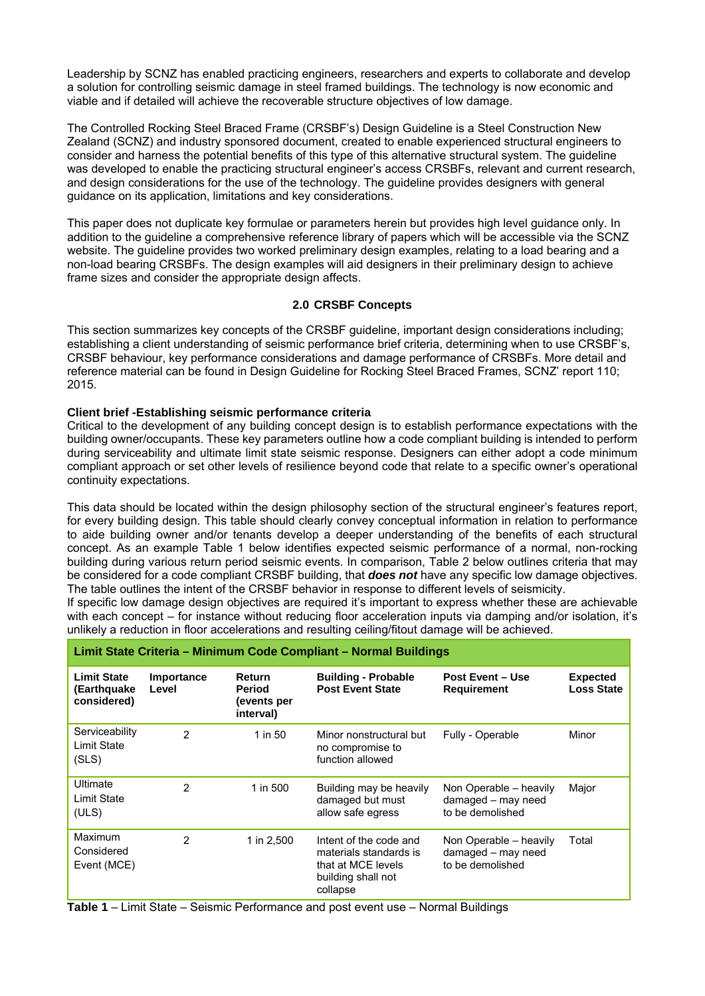Leadership by SCNZ has enabled practicing engineers, researchers and experts to collaborate and develop a solution for controlling seismic damage in steel framed buildings. The technology is now economic and viable and if detailed will achieve the recoverable structure objectives of low damage.

The Controlled Rocking Steel Braced Frame (CRSBF's) Design Guideline is a Steel Construction New Zealand (SCNZ) and industry sponsored document, created to enable experienced structural engineers to consider and harness the potential benefits of this type of this alternative structural system. The guideline was developed to enable the practicing structural engineer's access CRSBFs, relevant and current research, and design considerations for the use of the technology. The guideline provides designers with general guidance on its application, limitations and key considerations.

This paper does not duplicate key formulae or parameters herein but provides high level guidance only. In addition to the guideline a comprehensive reference library of papers which will be accessible via the SCNZ website. The guideline provides two worked preliminary design examples, relating to a load bearing and a non-load bearing CRSBFs. The design examples will aid designers in their preliminary design to achieve frame sizes and consider the appropriate design affects.

# **2.0 CRSBF Concepts**

This section summarizes key concepts of the CRSBF guideline, important design considerations including; establishing a client understanding of seismic performance brief criteria, determining when to use CRSBF's, CRSBF behaviour, key performance considerations and damage performance of CRSBFs. More detail and reference material can be found in Design Guideline for Rocking Steel Braced Frames, SCNZ' report 110; 2015.

### **Client brief -Establishing seismic performance criteria**

Critical to the development of any building concept design is to establish performance expectations with the building owner/occupants. These key parameters outline how a code compliant building is intended to perform during serviceability and ultimate limit state seismic response. Designers can either adopt a code minimum compliant approach or set other levels of resilience beyond code that relate to a specific owner's operational continuity expectations.

This data should be located within the design philosophy section of the structural engineer's features report, for every building design. This table should clearly convey conceptual information in relation to performance to aide building owner and/or tenants develop a deeper understanding of the benefits of each structural concept. As an example Table 1 below identifies expected seismic performance of a normal, non-rocking building during various return period seismic events. In comparison, Table 2 below outlines criteria that may be considered for a code compliant CRSBF building, that *does not* have any specific low damage objectives. The table outlines the intent of the CRSBF behavior in response to different levels of seismicity.

If specific low damage design objectives are required it's important to express whether these are achievable with each concept – for instance without reducing floor acceleration inputs via damping and/or isolation, it's unlikely a reduction in floor accelerations and resulting ceiling/fitout damage will be achieved.

| Limit State Criteria - Minimum Code Compliant - Normal Buildings |                     |                                                            |                                                                                                          |                                                                  |                                      |  |  |  |  |
|------------------------------------------------------------------|---------------------|------------------------------------------------------------|----------------------------------------------------------------------------------------------------------|------------------------------------------------------------------|--------------------------------------|--|--|--|--|
| <b>Limit State</b><br>(Earthquake<br>considered)                 | Importance<br>Level | <b>Return</b><br><b>Period</b><br>(events per<br>interval) | <b>Building - Probable</b><br><b>Post Event State</b>                                                    | <b>Post Event – Use</b><br><b>Requirement</b>                    | <b>Expected</b><br><b>Loss State</b> |  |  |  |  |
| Serviceability<br>Limit State<br>(SLS)                           | $\overline{2}$      | 1 in 50                                                    | Minor nonstructural but<br>no compromise to<br>function allowed                                          | Fully - Operable                                                 | Minor                                |  |  |  |  |
| Ultimate<br>Limit State<br>(ULS)                                 | $\overline{2}$      | 1 in 500                                                   | Building may be heavily<br>damaged but must<br>allow safe egress                                         | Non Operable - heavily<br>damaged - may need<br>to be demolished | Major                                |  |  |  |  |
| Maximum<br>Considered<br>Event (MCE)                             | 2                   | 1 in 2,500                                                 | Intent of the code and<br>materials standards is<br>that at MCE levels<br>building shall not<br>collapse | Non Operable - heavily<br>damaged - may need<br>to be demolished | Total                                |  |  |  |  |

**Table 1** – Limit State – Seismic Performance and post event use – Normal Buildings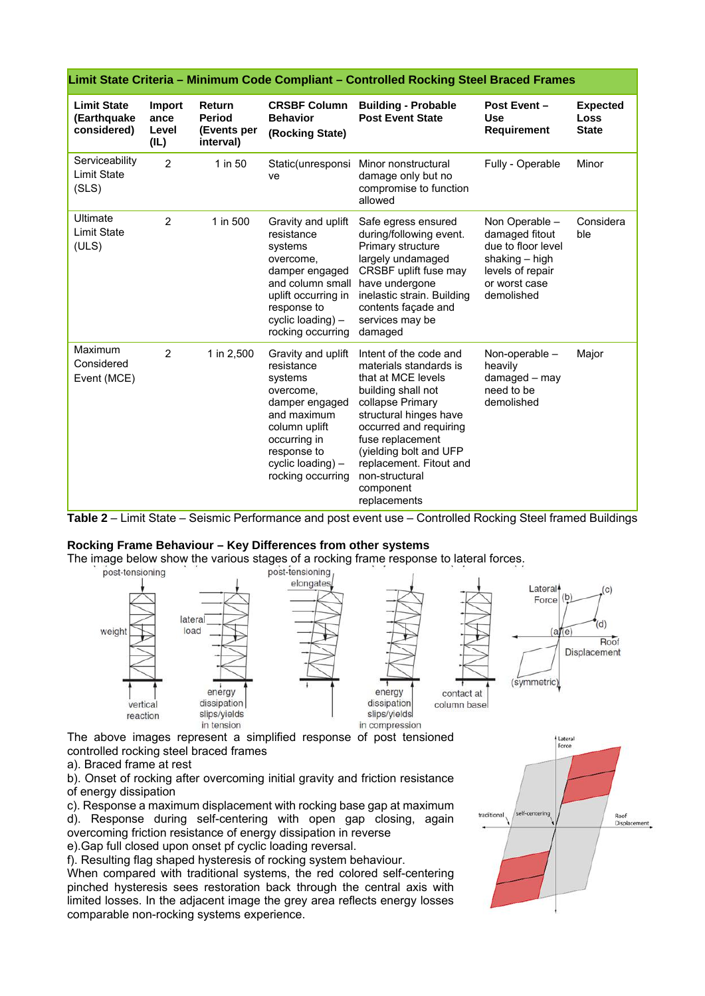| Limit State Criteria - Minimum Code Compliant - Controlled Rocking Steel Braced Frames |                                 |                                                            |                                                                                                                                                                                     |                                                                                                                                                                                                                                                                                              |                                                                                                                             |                                         |  |  |  |
|----------------------------------------------------------------------------------------|---------------------------------|------------------------------------------------------------|-------------------------------------------------------------------------------------------------------------------------------------------------------------------------------------|----------------------------------------------------------------------------------------------------------------------------------------------------------------------------------------------------------------------------------------------------------------------------------------------|-----------------------------------------------------------------------------------------------------------------------------|-----------------------------------------|--|--|--|
| <b>Limit State</b><br>(Earthquake<br>considered)                                       | Import<br>ance<br>Level<br>(IL) | <b>Return</b><br><b>Period</b><br>(Events per<br>interval) | <b>CRSBF Column</b><br><b>Behavior</b><br>(Rocking State)                                                                                                                           | <b>Building - Probable</b><br><b>Post Event State</b>                                                                                                                                                                                                                                        | Post Event-<br><b>Use</b><br><b>Requirement</b>                                                                             | <b>Expected</b><br>Loss<br><b>State</b> |  |  |  |
| Serviceability<br><b>Limit State</b><br>(SLS)                                          | $\overline{2}$                  | 1 in 50                                                    | ve                                                                                                                                                                                  | Static(unresponsi Minor nonstructural<br>damage only but no<br>compromise to function<br>allowed                                                                                                                                                                                             | Fully - Operable                                                                                                            | Minor                                   |  |  |  |
| Ultimate<br><b>Limit State</b><br>(ULS)                                                | $\overline{2}$                  | 1 in 500                                                   | Gravity and uplift<br>resistance<br>systems<br>overcome,<br>damper engaged<br>and column small<br>uplift occurring in<br>response to<br>cyclic loading) -<br>rocking occurring      | Safe egress ensured<br>during/following event.<br>Primary structure<br>largely undamaged<br>CRSBF uplift fuse may<br>have undergone<br>inelastic strain. Building<br>contents façade and<br>services may be<br>damaged                                                                       | Non Operable -<br>damaged fitout<br>due to floor level<br>shaking - high<br>levels of repair<br>or worst case<br>demolished | Considera<br>ble                        |  |  |  |
| Maximum<br>Considered<br>Event (MCE)                                                   | $\overline{2}$                  | 1 in 2,500                                                 | Gravity and uplift<br>resistance<br>systems<br>overcome,<br>damper engaged<br>and maximum<br>column uplift<br>occurring in<br>response to<br>cyclic loading) -<br>rocking occurring | Intent of the code and<br>materials standards is<br>that at MCE levels<br>building shall not<br>collapse Primary<br>structural hinges have<br>occurred and requiring<br>fuse replacement<br>(yielding bolt and UFP<br>replacement. Fitout and<br>non-structural<br>component<br>replacements | Non-operable -<br>heavily<br>damaged - may<br>need to be<br>demolished                                                      | Major                                   |  |  |  |

**Table 2** – Limit State – Seismic Performance and post event use – Controlled Rocking Steel framed Buildings

#### **Rocking Frame Behaviour – Key Differences from other systems**

The image below show the various stages of a rocking frame response to lateral forces.<br>post-tensioning,



The above images represent a simplified response of post tensioned controlled rocking steel braced frames

a). Braced frame at rest

b). Onset of rocking after overcoming initial gravity and friction resistance of energy dissipation

c). Response a maximum displacement with rocking base gap at maximum

d). Response during self-centering with open gap closing, again overcoming friction resistance of energy dissipation in reverse

e).Gap full closed upon onset pf cyclic loading reversal.

f). Resulting flag shaped hysteresis of rocking system behaviour.

When compared with traditional systems, the red colored self-centering pinched hysteresis sees restoration back through the central axis with limited losses. In the adjacent image the grey area reflects energy losses comparable non-rocking systems experience.

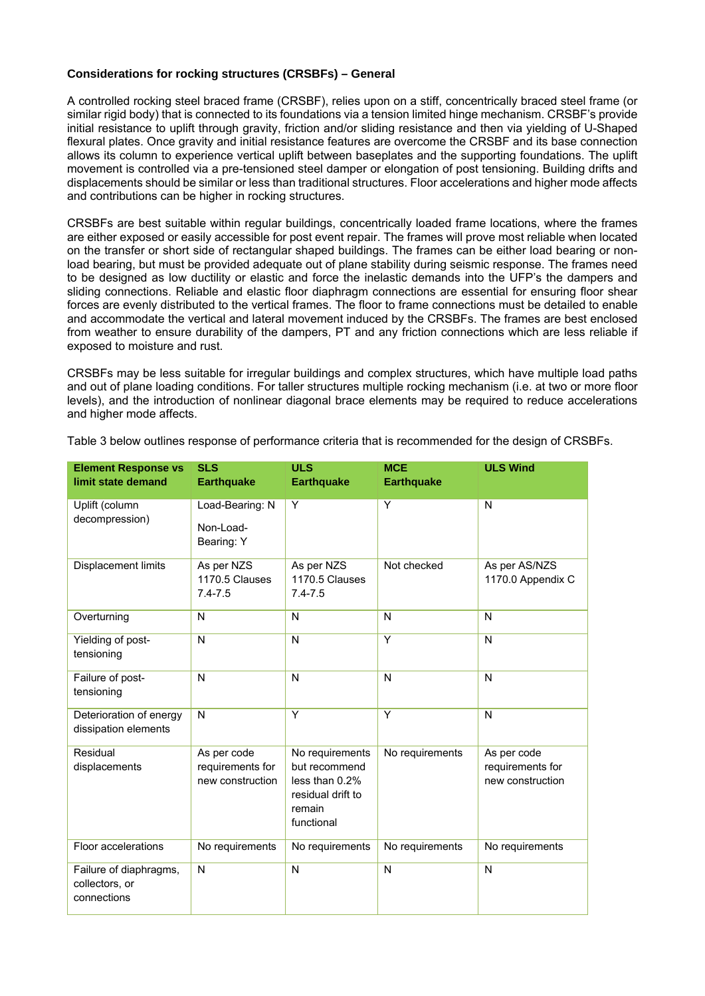### **Considerations for rocking structures (CRSBFs) – General**

A controlled rocking steel braced frame (CRSBF), relies upon on a stiff, concentrically braced steel frame (or similar rigid body) that is connected to its foundations via a tension limited hinge mechanism. CRSBF's provide initial resistance to uplift through gravity, friction and/or sliding resistance and then via yielding of U-Shaped flexural plates. Once gravity and initial resistance features are overcome the CRSBF and its base connection allows its column to experience vertical uplift between baseplates and the supporting foundations. The uplift movement is controlled via a pre-tensioned steel damper or elongation of post tensioning. Building drifts and displacements should be similar or less than traditional structures. Floor accelerations and higher mode affects and contributions can be higher in rocking structures.

CRSBFs are best suitable within regular buildings, concentrically loaded frame locations, where the frames are either exposed or easily accessible for post event repair. The frames will prove most reliable when located on the transfer or short side of rectangular shaped buildings. The frames can be either load bearing or nonload bearing, but must be provided adequate out of plane stability during seismic response. The frames need to be designed as low ductility or elastic and force the inelastic demands into the UFP's the dampers and sliding connections. Reliable and elastic floor diaphragm connections are essential for ensuring floor shear forces are evenly distributed to the vertical frames. The floor to frame connections must be detailed to enable and accommodate the vertical and lateral movement induced by the CRSBFs. The frames are best enclosed from weather to ensure durability of the dampers, PT and any friction connections which are less reliable if exposed to moisture and rust.

CRSBFs may be less suitable for irregular buildings and complex structures, which have multiple load paths and out of plane loading conditions. For taller structures multiple rocking mechanism (i.e. at two or more floor levels), and the introduction of nonlinear diagonal brace elements may be required to reduce accelerations and higher mode affects.

| <b>Element Response vs</b><br>limit state demand        | <b>SLS</b><br><b>Earthquake</b>                     | <b>ULS</b><br><b>Earthquake</b>                                                                    | <b>MCE</b><br><b>Earthquake</b> | <b>ULS Wind</b>                                     |
|---------------------------------------------------------|-----------------------------------------------------|----------------------------------------------------------------------------------------------------|---------------------------------|-----------------------------------------------------|
| Uplift (column<br>decompression)                        | Load-Bearing: N<br>Non-Load-<br>Bearing: Y          | Υ                                                                                                  | Y                               | N                                                   |
| Displacement limits                                     | As per NZS<br>1170.5 Clauses<br>$7.4 - 7.5$         | As per NZS<br>1170.5 Clauses<br>$7.4 - 7.5$                                                        | Not checked                     | As per AS/NZS<br>1170.0 Appendix C                  |
| Overturning                                             | N                                                   | N                                                                                                  | N                               | N                                                   |
| Yielding of post-<br>tensioning                         | N                                                   | $\mathsf{N}$                                                                                       | Y                               | N                                                   |
| Failure of post-<br>tensioning                          | N                                                   | N                                                                                                  | $\mathsf{N}$                    | N                                                   |
| Deterioration of energy<br>dissipation elements         | N                                                   | Y                                                                                                  | Y                               | $\overline{N}$                                      |
| Residual<br>displacements                               | As per code<br>requirements for<br>new construction | No requirements<br>but recommend<br>less than $0.2\%$<br>residual drift to<br>remain<br>functional | No requirements                 | As per code<br>requirements for<br>new construction |
| Floor accelerations                                     | No requirements                                     | No requirements                                                                                    | No requirements                 | No requirements                                     |
| Failure of diaphragms,<br>collectors, or<br>connections | N                                                   | $\mathsf{N}$                                                                                       | $\mathsf{N}$                    | N                                                   |

Table 3 below outlines response of performance criteria that is recommended for the design of CRSBFs.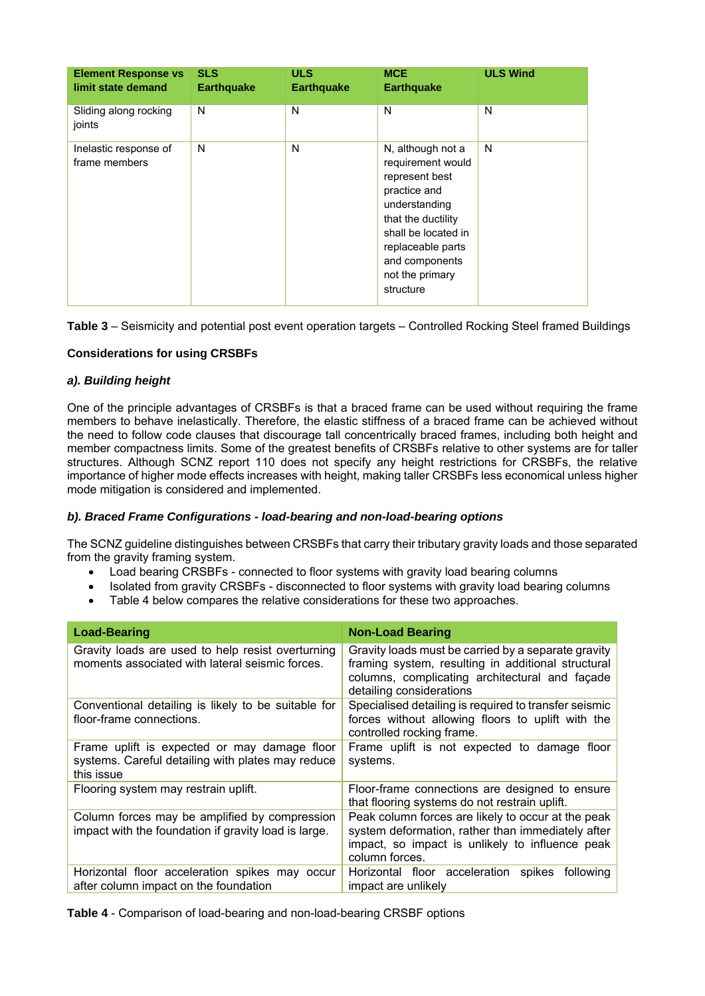| <b>Element Response vs</b><br>limit state demand | <b>SLS</b><br><b>Earthquake</b> | <b>ULS</b><br><b>Earthquake</b> | <b>MCE</b><br><b>Earthquake</b>                                                                                                                                                                               | <b>ULS Wind</b> |
|--------------------------------------------------|---------------------------------|---------------------------------|---------------------------------------------------------------------------------------------------------------------------------------------------------------------------------------------------------------|-----------------|
| Sliding along rocking<br>joints                  | N                               | N                               | N                                                                                                                                                                                                             | N               |
| Inelastic response of<br>frame members           | N                               | N                               | N, although not a<br>requirement would<br>represent best<br>practice and<br>understanding<br>that the ductility<br>shall be located in<br>replaceable parts<br>and components<br>not the primary<br>structure | N               |

**Table 3** – Seismicity and potential post event operation targets – Controlled Rocking Steel framed Buildings

# **Considerations for using CRSBFs**

# *a). Building height*

One of the principle advantages of CRSBFs is that a braced frame can be used without requiring the frame members to behave inelastically. Therefore, the elastic stiffness of a braced frame can be achieved without the need to follow code clauses that discourage tall concentrically braced frames, including both height and member compactness limits. Some of the greatest benefits of CRSBFs relative to other systems are for taller structures. Although SCNZ report 110 does not specify any height restrictions for CRSBFs, the relative importance of higher mode effects increases with height, making taller CRSBFs less economical unless higher mode mitigation is considered and implemented.

# *b). Braced Frame Configurations - load-bearing and non-load-bearing options*

The SCNZ guideline distinguishes between CRSBFs that carry their tributary gravity loads and those separated from the gravity framing system.

- Load bearing CRSBFs connected to floor systems with gravity load bearing columns
- Isolated from gravity CRSBFs disconnected to floor systems with gravity load bearing columns
- Table 4 below compares the relative considerations for these two approaches.

| <b>Load-Bearing</b>                                                                                             | <b>Non-Load Bearing</b>                                                                                                                                                                 |
|-----------------------------------------------------------------------------------------------------------------|-----------------------------------------------------------------------------------------------------------------------------------------------------------------------------------------|
| Gravity loads are used to help resist overturning<br>moments associated with lateral seismic forces.            | Gravity loads must be carried by a separate gravity<br>framing system, resulting in additional structural<br>columns, complicating architectural and façade<br>detailing considerations |
| Conventional detailing is likely to be suitable for<br>floor-frame connections.                                 | Specialised detailing is required to transfer seismic<br>forces without allowing floors to uplift with the<br>controlled rocking frame.                                                 |
| Frame uplift is expected or may damage floor<br>systems. Careful detailing with plates may reduce<br>this issue | Frame uplift is not expected to damage floor<br>systems.                                                                                                                                |
| Flooring system may restrain uplift.                                                                            | Floor-frame connections are designed to ensure<br>that flooring systems do not restrain uplift.                                                                                         |
| Column forces may be amplified by compression<br>impact with the foundation if gravity load is large.           | Peak column forces are likely to occur at the peak<br>system deformation, rather than immediately after<br>impact, so impact is unlikely to influence peak<br>column forces.            |
| Horizontal floor acceleration spikes may occur<br>after column impact on the foundation                         | Horizontal floor acceleration spikes<br>following<br>impact are unlikely                                                                                                                |

**Table 4** - Comparison of load-bearing and non-load-bearing CRSBF options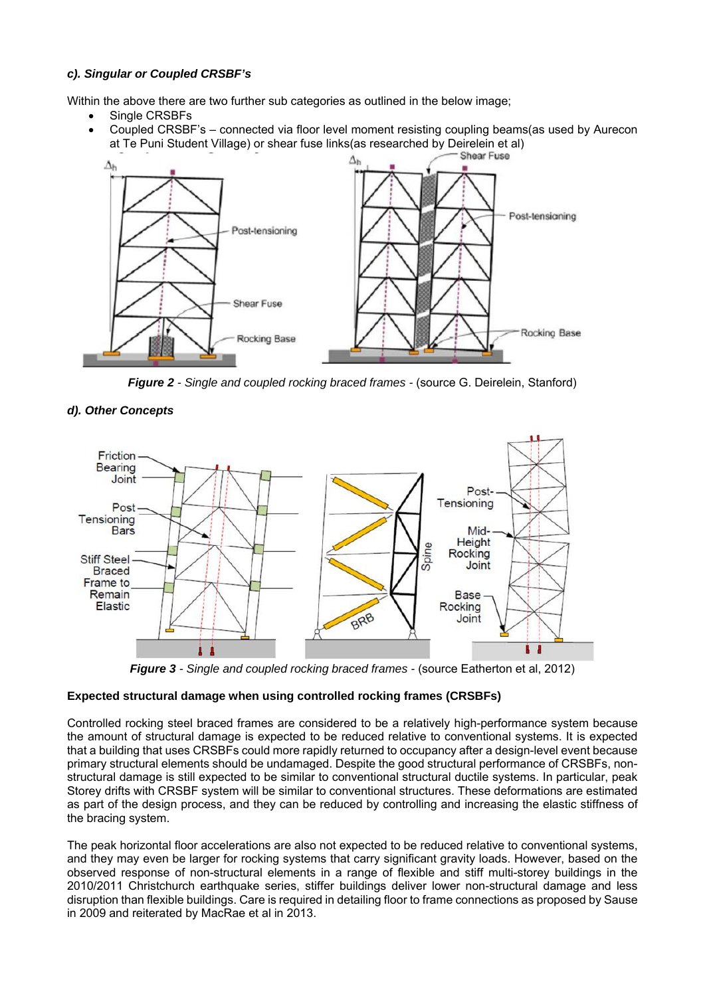# *c). Singular or Coupled CRSBF's*

Within the above there are two further sub categories as outlined in the below image;

- Single CRSBFs
- Coupled CRSBF's connected via floor level moment resisting coupling beams(as used by Aurecon at Te Puni Student Village) or shear fuse links(as researched by Deirelein et al)



*Figure 2 - Single and coupled rocking braced frames -* (source G. Deirelein, Stanford)



#### *d). Other Concepts*

*Figure 3 - Single and coupled rocking braced frames -* (source Eatherton et al, 2012)

# **Expected structural damage when using controlled rocking frames (CRSBFs)**

Controlled rocking steel braced frames are considered to be a relatively high-performance system because the amount of structural damage is expected to be reduced relative to conventional systems. It is expected that a building that uses CRSBFs could more rapidly returned to occupancy after a design-level event because primary structural elements should be undamaged. Despite the good structural performance of CRSBFs, nonstructural damage is still expected to be similar to conventional structural ductile systems. In particular, peak Storey drifts with CRSBF system will be similar to conventional structures. These deformations are estimated as part of the design process, and they can be reduced by controlling and increasing the elastic stiffness of the bracing system.

The peak horizontal floor accelerations are also not expected to be reduced relative to conventional systems, and they may even be larger for rocking systems that carry significant gravity loads. However, based on the observed response of non-structural elements in a range of flexible and stiff multi-storey buildings in the 2010/2011 Christchurch earthquake series, stiffer buildings deliver lower non-structural damage and less disruption than flexible buildings. Care is required in detailing floor to frame connections as proposed by Sause in 2009 and reiterated by MacRae et al in 2013.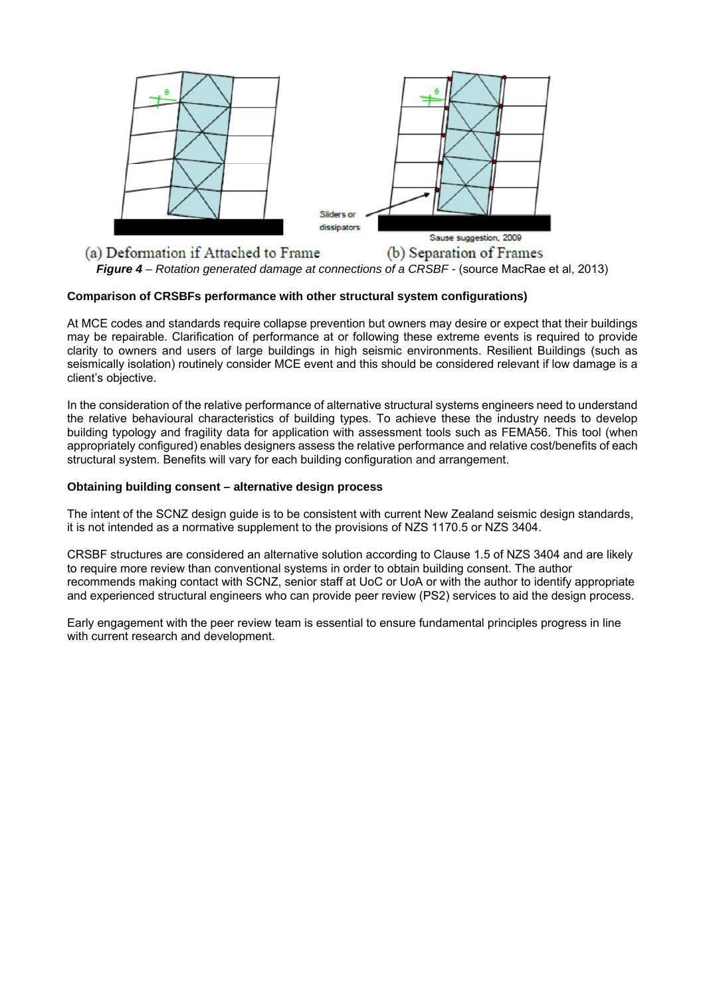

# **Comparison of CRSBFs performance with other structural system configurations)**

At MCE codes and standards require collapse prevention but owners may desire or expect that their buildings may be repairable. Clarification of performance at or following these extreme events is required to provide clarity to owners and users of large buildings in high seismic environments. Resilient Buildings (such as seismically isolation) routinely consider MCE event and this should be considered relevant if low damage is a client's objective.

In the consideration of the relative performance of alternative structural systems engineers need to understand the relative behavioural characteristics of building types. To achieve these the industry needs to develop building typology and fragility data for application with assessment tools such as FEMA56. This tool (when appropriately configured) enables designers assess the relative performance and relative cost/benefits of each structural system. Benefits will vary for each building configuration and arrangement.

# **Obtaining building consent – alternative design process**

The intent of the SCNZ design guide is to be consistent with current New Zealand seismic design standards, it is not intended as a normative supplement to the provisions of NZS 1170.5 or NZS 3404.

CRSBF structures are considered an alternative solution according to Clause 1.5 of NZS 3404 and are likely to require more review than conventional systems in order to obtain building consent. The author recommends making contact with SCNZ, senior staff at UoC or UoA or with the author to identify appropriate and experienced structural engineers who can provide peer review (PS2) services to aid the design process.

Early engagement with the peer review team is essential to ensure fundamental principles progress in line with current research and development.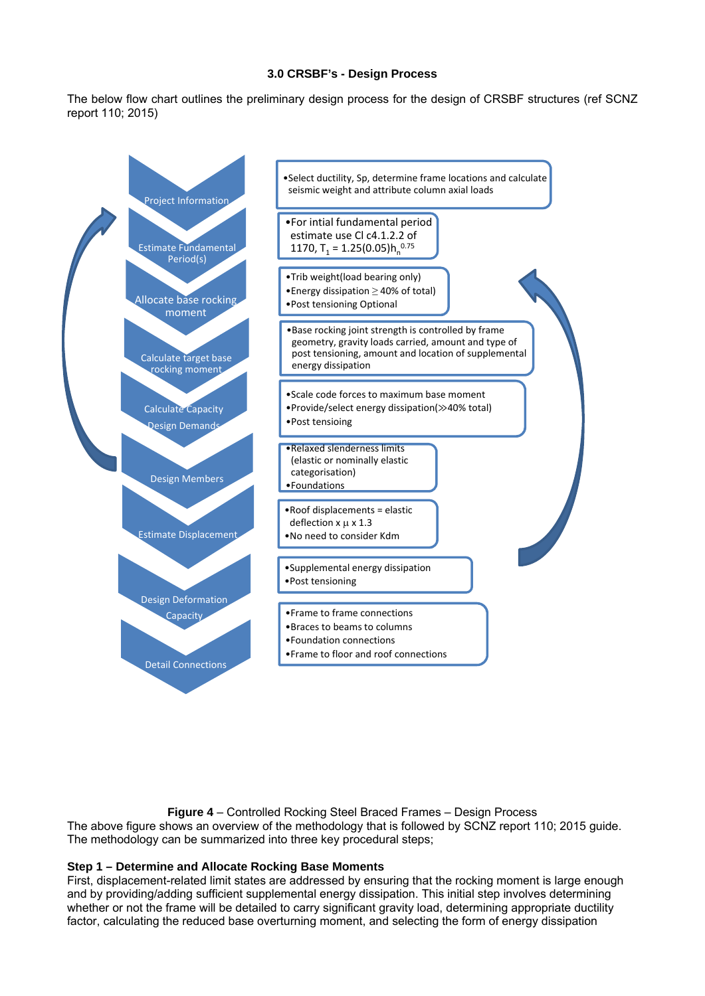#### **3.0 CRSBF's - Design Process**

The below flow chart outlines the preliminary design process for the design of CRSBF structures (ref SCNZ report 110; 2015)



**Figure 4** – Controlled Rocking Steel Braced Frames – Design Process The above figure shows an overview of the methodology that is followed by SCNZ report 110; 2015 guide. The methodology can be summarized into three key procedural steps;

# **Step 1 – Determine and Allocate Rocking Base Moments**

First, displacement-related limit states are addressed by ensuring that the rocking moment is large enough and by providing/adding sufficient supplemental energy dissipation. This initial step involves determining whether or not the frame will be detailed to carry significant gravity load, determining appropriate ductility factor, calculating the reduced base overturning moment, and selecting the form of energy dissipation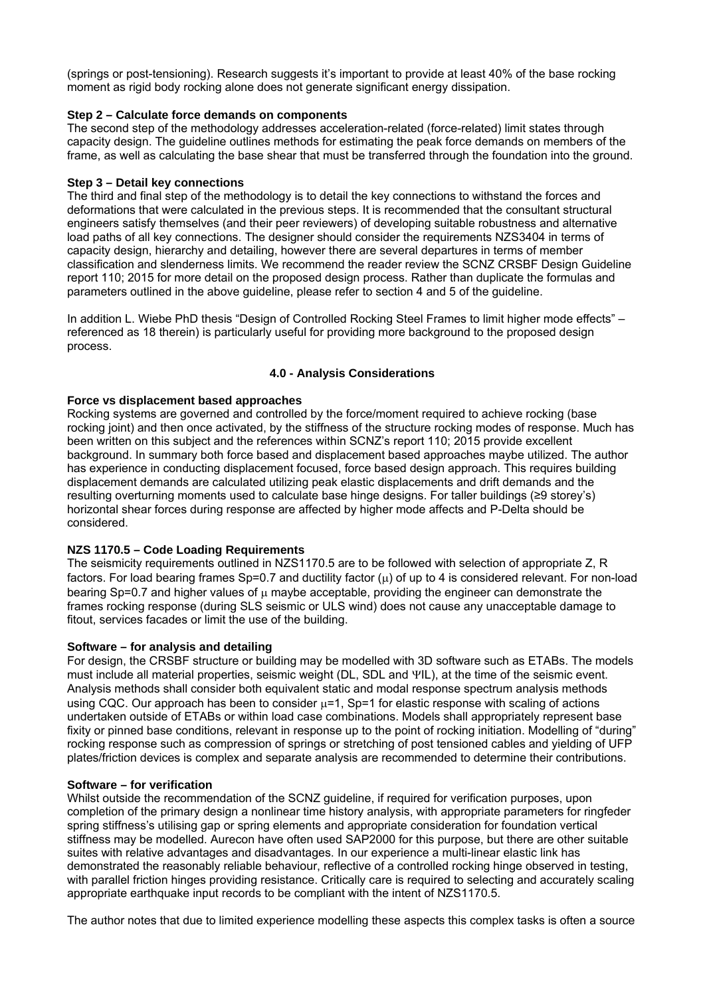(springs or post-tensioning). Research suggests it's important to provide at least 40% of the base rocking moment as rigid body rocking alone does not generate significant energy dissipation.

### **Step 2 – Calculate force demands on components**

The second step of the methodology addresses acceleration-related (force-related) limit states through capacity design. The guideline outlines methods for estimating the peak force demands on members of the frame, as well as calculating the base shear that must be transferred through the foundation into the ground.

### **Step 3 – Detail key connections**

The third and final step of the methodology is to detail the key connections to withstand the forces and deformations that were calculated in the previous steps. It is recommended that the consultant structural engineers satisfy themselves (and their peer reviewers) of developing suitable robustness and alternative load paths of all key connections. The designer should consider the requirements NZS3404 in terms of capacity design, hierarchy and detailing, however there are several departures in terms of member classification and slenderness limits. We recommend the reader review the SCNZ CRSBF Design Guideline report 110; 2015 for more detail on the proposed design process. Rather than duplicate the formulas and parameters outlined in the above guideline, please refer to section 4 and 5 of the guideline.

In addition L. Wiebe PhD thesis "Design of Controlled Rocking Steel Frames to limit higher mode effects" – referenced as 18 therein) is particularly useful for providing more background to the proposed design process.

### **4.0 - Analysis Considerations**

### **Force vs displacement based approaches**

Rocking systems are governed and controlled by the force/moment required to achieve rocking (base rocking joint) and then once activated, by the stiffness of the structure rocking modes of response. Much has been written on this subject and the references within SCNZ's report 110; 2015 provide excellent background. In summary both force based and displacement based approaches maybe utilized. The author has experience in conducting displacement focused, force based design approach. This requires building displacement demands are calculated utilizing peak elastic displacements and drift demands and the resulting overturning moments used to calculate base hinge designs. For taller buildings (≥9 storey's) horizontal shear forces during response are affected by higher mode affects and P-Delta should be considered.

# **NZS 1170.5 – Code Loading Requirements**

The seismicity requirements outlined in NZS1170.5 are to be followed with selection of appropriate Z, R factors. For load bearing frames  $Sp=0.7$  and ductility factor  $(u)$  of up to 4 is considered relevant. For non-load bearing Sp=0.7 and higher values of  $\mu$  maybe acceptable, providing the engineer can demonstrate the frames rocking response (during SLS seismic or ULS wind) does not cause any unacceptable damage to fitout, services facades or limit the use of the building.

#### **Software – for analysis and detailing**

For design, the CRSBF structure or building may be modelled with 3D software such as ETABs. The models must include all material properties, seismic weight (DL, SDL and YIL), at the time of the seismic event. Analysis methods shall consider both equivalent static and modal response spectrum analysis methods using CQC. Our approach has been to consider  $\mu$ =1, Sp=1 for elastic response with scaling of actions undertaken outside of ETABs or within load case combinations. Models shall appropriately represent base fixity or pinned base conditions, relevant in response up to the point of rocking initiation. Modelling of "during" rocking response such as compression of springs or stretching of post tensioned cables and yielding of UFP plates/friction devices is complex and separate analysis are recommended to determine their contributions.

#### **Software – for verification**

Whilst outside the recommendation of the SCNZ guideline, if required for verification purposes, upon completion of the primary design a nonlinear time history analysis, with appropriate parameters for ringfeder spring stiffness's utilising gap or spring elements and appropriate consideration for foundation vertical stiffness may be modelled. Aurecon have often used SAP2000 for this purpose, but there are other suitable suites with relative advantages and disadvantages. In our experience a multi-linear elastic link has demonstrated the reasonably reliable behaviour, reflective of a controlled rocking hinge observed in testing, with parallel friction hinges providing resistance. Critically care is required to selecting and accurately scaling appropriate earthquake input records to be compliant with the intent of NZS1170.5.

The author notes that due to limited experience modelling these aspects this complex tasks is often a source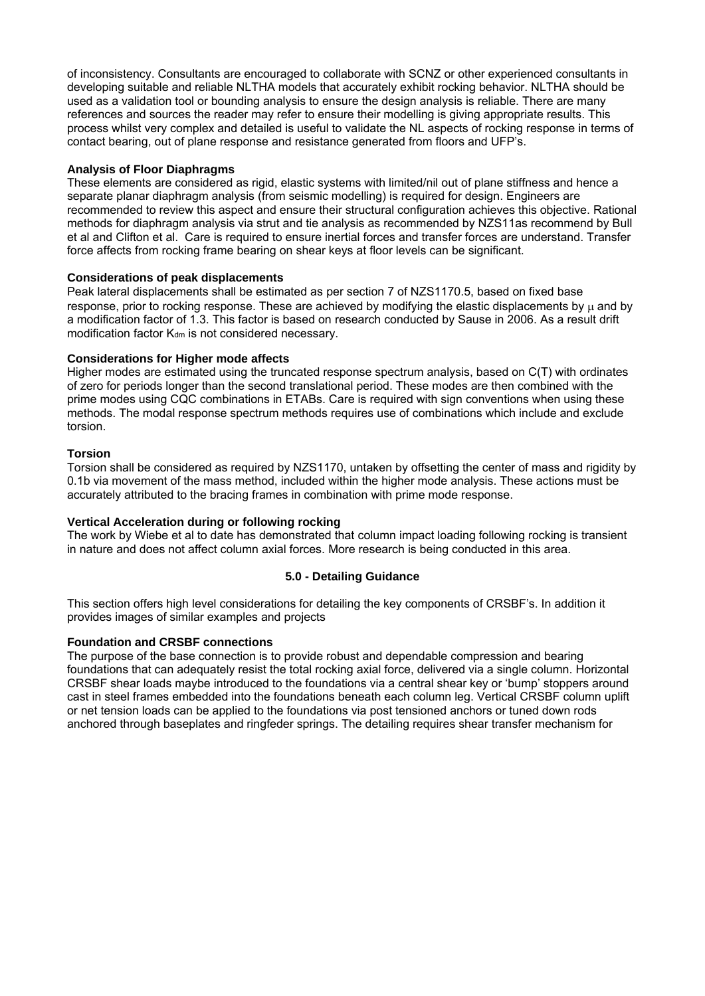of inconsistency. Consultants are encouraged to collaborate with SCNZ or other experienced consultants in developing suitable and reliable NLTHA models that accurately exhibit rocking behavior. NLTHA should be used as a validation tool or bounding analysis to ensure the design analysis is reliable. There are many references and sources the reader may refer to ensure their modelling is giving appropriate results. This process whilst very complex and detailed is useful to validate the NL aspects of rocking response in terms of contact bearing, out of plane response and resistance generated from floors and UFP's.

### **Analysis of Floor Diaphragms**

These elements are considered as rigid, elastic systems with limited/nil out of plane stiffness and hence a separate planar diaphragm analysis (from seismic modelling) is required for design. Engineers are recommended to review this aspect and ensure their structural configuration achieves this objective. Rational methods for diaphragm analysis via strut and tie analysis as recommended by NZS11as recommend by Bull et al and Clifton et al. Care is required to ensure inertial forces and transfer forces are understand. Transfer force affects from rocking frame bearing on shear keys at floor levels can be significant.

### **Considerations of peak displacements**

Peak lateral displacements shall be estimated as per section 7 of NZS1170.5, based on fixed base response, prior to rocking response. These are achieved by modifying the elastic displacements by  $\mu$  and by a modification factor of 1.3. This factor is based on research conducted by Sause in 2006. As a result drift modification factor K<sub>dm</sub> is not considered necessary.

### **Considerations for Higher mode affects**

Higher modes are estimated using the truncated response spectrum analysis, based on C(T) with ordinates of zero for periods longer than the second translational period. These modes are then combined with the prime modes using CQC combinations in ETABs. Care is required with sign conventions when using these methods. The modal response spectrum methods requires use of combinations which include and exclude torsion.

### **Torsion**

Torsion shall be considered as required by NZS1170, untaken by offsetting the center of mass and rigidity by 0.1b via movement of the mass method, included within the higher mode analysis. These actions must be accurately attributed to the bracing frames in combination with prime mode response.

# **Vertical Acceleration during or following rocking**

The work by Wiebe et al to date has demonstrated that column impact loading following rocking is transient in nature and does not affect column axial forces. More research is being conducted in this area.

# **5.0 - Detailing Guidance**

This section offers high level considerations for detailing the key components of CRSBF's. In addition it provides images of similar examples and projects

# **Foundation and CRSBF connections**

The purpose of the base connection is to provide robust and dependable compression and bearing foundations that can adequately resist the total rocking axial force, delivered via a single column. Horizontal CRSBF shear loads maybe introduced to the foundations via a central shear key or 'bump' stoppers around cast in steel frames embedded into the foundations beneath each column leg. Vertical CRSBF column uplift or net tension loads can be applied to the foundations via post tensioned anchors or tuned down rods anchored through baseplates and ringfeder springs. The detailing requires shear transfer mechanism for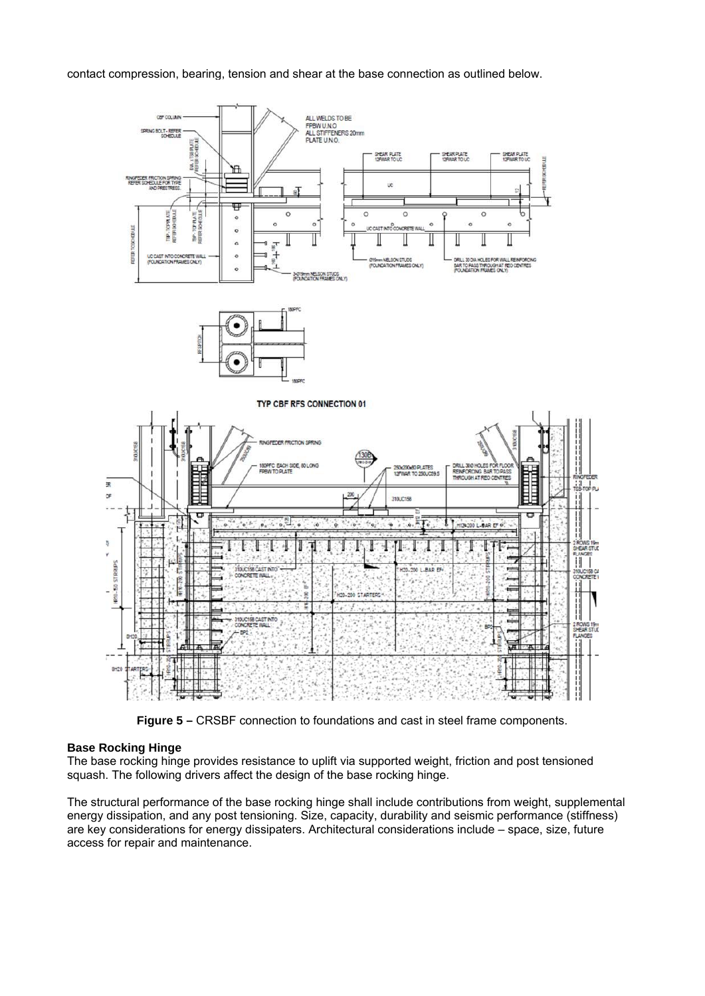contact compression, bearing, tension and shear at the base connection as outlined below.



**Figure 5 –** CRSBF connection to foundations and cast in steel frame components.

#### **Base Rocking Hinge**

The base rocking hinge provides resistance to uplift via supported weight, friction and post tensioned squash. The following drivers affect the design of the base rocking hinge.

The structural performance of the base rocking hinge shall include contributions from weight, supplemental energy dissipation, and any post tensioning. Size, capacity, durability and seismic performance (stiffness) are key considerations for energy dissipaters. Architectural considerations include – space, size, future access for repair and maintenance.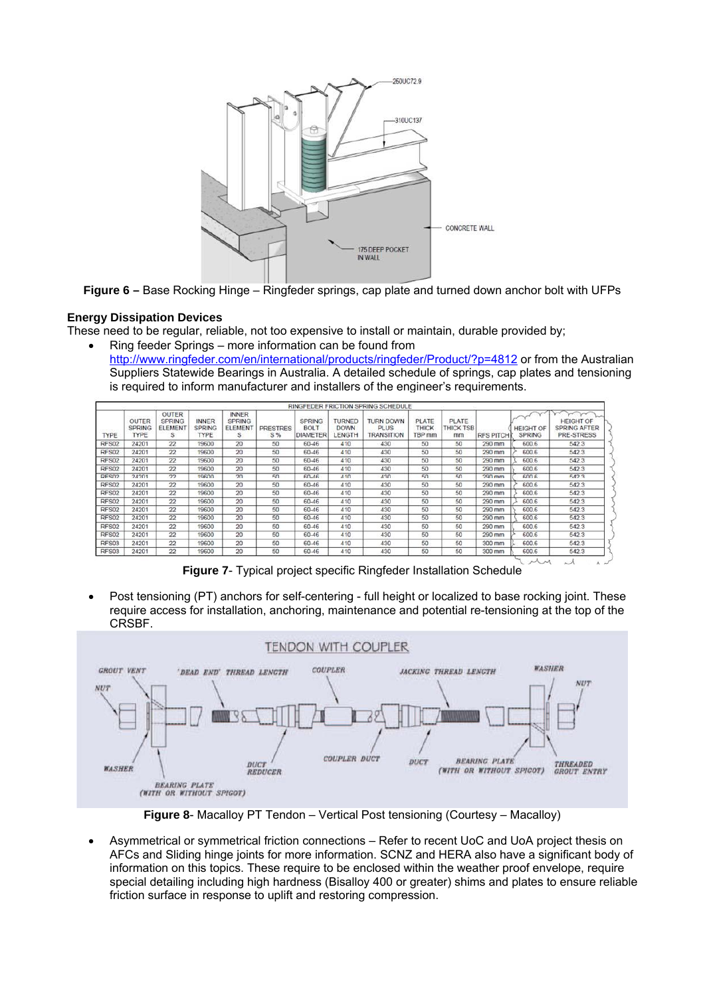

**Figure 6 –** Base Rocking Hinge – Ringfeder springs, cap plate and turned down anchor bolt with UFPs

# **Energy Dissipation Devices**

These need to be regular, reliable, not too expensive to install or maintain, durable provided by; Ring feeder Springs – more information can be found from

http://www.ringfeder.com/en/international/products/ringfeder/Product/?p=4812 or from the Australian Suppliers Statewide Bearings in Australia. A detailed schedule of springs, cap plates and tensioning is required to inform manufacturer and installers of the engineer's requirements.

|              |                                              |                                                      |                                              |                                                     |                        |                                                 |                                        | RINGFEDER FRICTION SPRING SCHEDULE                          |                                 |                                 |                  |                                   |                                                       |
|--------------|----------------------------------------------|------------------------------------------------------|----------------------------------------------|-----------------------------------------------------|------------------------|-------------------------------------------------|----------------------------------------|-------------------------------------------------------------|---------------------------------|---------------------------------|------------------|-----------------------------------|-------------------------------------------------------|
| <b>TYPE</b>  | <b>OUTER</b><br><b>SPRING</b><br><b>TYPE</b> | <b>OUTER</b><br><b>SPRING</b><br><b>ELEMENT</b><br>s | <b>INNER</b><br><b>SPRING</b><br><b>TYPE</b> | <b>INNER</b><br><b>SPRING</b><br><b>ELEMEN</b><br>s | <b>PRESTRES</b><br>S % | <b>SPRING</b><br><b>BOLT</b><br><b>DIAMETER</b> | <b>TURNED</b><br><b>DOWN</b><br>LENGTH | <b>TURN DOWN</b><br><b>PLUS</b><br><b><i>TRANSITION</i></b> | PLATE<br><b>THICK</b><br>TBP mm | PLATE<br><b>THICK TSB</b><br>mm | <b>RFS PITCH</b> | <b>HEIGHT OF</b><br><b>SPRING</b> | <b>HEIGHT OF</b><br><b>SPRING AFTER</b><br>PRE-STRESS |
| RFS02        | 24201                                        | 22                                                   | 19600                                        | 20                                                  | 50                     | 60-46                                           | 410                                    | 430                                                         | 50                              | 50                              | 290 mm           | 600.6                             | 542.3                                                 |
| RFS02        | 24201                                        | 22                                                   | 19600                                        | 20                                                  | 50                     | 60-46                                           | 410                                    | 430                                                         | 50                              | 50                              | 290 mm           | 600.6                             | 542.3                                                 |
| RFS02        | 24201                                        | 22                                                   | 19600                                        | 20                                                  | 50                     | 60-46                                           | 410                                    | 430                                                         | 50                              | 50                              | 290 mm           | 600.6                             | 542.3                                                 |
| RFS02        | 24201                                        | 22                                                   | 19600                                        | 20                                                  | 50                     | 60-46                                           | 410                                    | 430                                                         | 50                              | 50                              | 290 mm           | 600.6                             | 542.3                                                 |
| RFS02        | 24201                                        | 22                                                   | 19600                                        | 20                                                  | $50 - 50$              | 60-46                                           | 410                                    | 430                                                         | 50                              | 50                              | 290 mm           | 600.6                             | 5423                                                  |
| RFS02        | 24201                                        | 22                                                   | 19600                                        | 20                                                  | 50                     | 60-46                                           | 410                                    | 430                                                         | 50                              | 50                              | 290 mm           | 600.6                             | 542.3                                                 |
| <b>RFS02</b> | 24201                                        | 22                                                   | 19600                                        | 20                                                  | 50                     | 60-46                                           | 410                                    | 430                                                         | 50                              | 50                              | 290 mm           | 600.6                             | 542.3                                                 |
| RFS02        | 24201                                        | 22                                                   | 19600                                        | 20                                                  | 50                     | 60-46                                           | 410                                    | 430                                                         | 50                              | 50                              | 290 mm           | 600.6                             | 542.3                                                 |
| RFS02        | 24201                                        | 22                                                   | 19600                                        | 20                                                  | 50                     | 60-46                                           | 410                                    | 430                                                         | 50                              | 50                              | 290 mm           | 600.6                             | 542.3                                                 |
| <b>RFS02</b> | 24201                                        | 22                                                   | 19600                                        | 20                                                  | 50                     | 60-46                                           | 410                                    | 430                                                         | 50                              | 50                              | 290 mm           | 600.6                             | 542.3                                                 |
| RFS02        | 24201                                        | 22                                                   | 19600                                        | 20                                                  | 50                     | 60-46                                           | 410                                    | 430                                                         | 50                              | 50                              | 290 mm           | 600.6                             | 542.3                                                 |
| <b>RFS02</b> | 24201                                        | 22                                                   | 19600                                        | 20                                                  | 50                     | 60-46                                           | 410                                    | 430                                                         | 50                              | 50                              | 290 mm           | 600.6                             | 542.3                                                 |
| RFS03        | 24201                                        | 22                                                   | 19600                                        | 20                                                  | 50                     | 60-46                                           | 410                                    | 430                                                         | 50                              | 50                              | 300 mm           | 600.6                             | 542.3                                                 |
| RFS03        | 24201                                        | 22                                                   | 19600                                        | 20                                                  | 50                     | 60-46                                           | 410                                    | 430                                                         | 50                              | 50                              | 300 mm           | 600.6                             | 542.3                                                 |

**Figure 7**- Typical project specific Ringfeder Installation Schedule

 Post tensioning (PT) anchors for self-centering - full height or localized to base rocking joint. These require access for installation, anchoring, maintenance and potential re-tensioning at the top of the CRSBF.



**Figure 8**- Macalloy PT Tendon – Vertical Post tensioning (Courtesy – Macalloy)

 Asymmetrical or symmetrical friction connections – Refer to recent UoC and UoA project thesis on AFCs and Sliding hinge joints for more information. SCNZ and HERA also have a significant body of information on this topics. These require to be enclosed within the weather proof envelope, require special detailing including high hardness (Bisalloy 400 or greater) shims and plates to ensure reliable friction surface in response to uplift and restoring compression.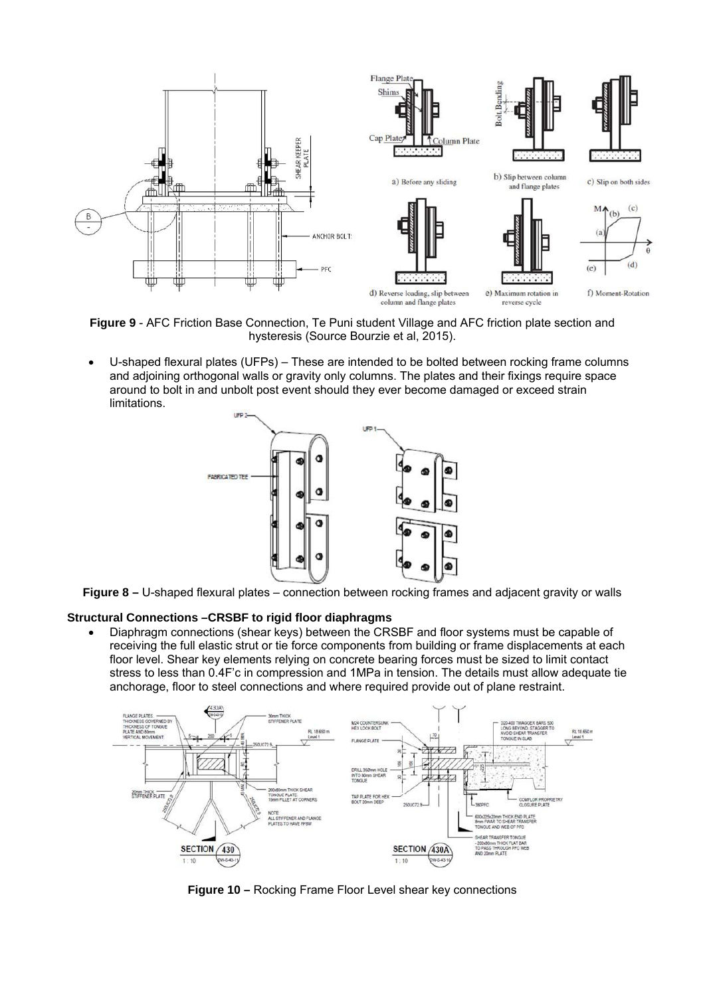

**Figure 9** - AFC Friction Base Connection, Te Puni student Village and AFC friction plate section and hysteresis (Source Bourzie et al, 2015).

 U-shaped flexural plates (UFPs) – These are intended to be bolted between rocking frame columns and adjoining orthogonal walls or gravity only columns. The plates and their fixings require space around to bolt in and unbolt post event should they ever become damaged or exceed strain limitations.



**Figure 8 –** U-shaped flexural plates – connection between rocking frames and adjacent gravity or walls

# **Structural Connections –CRSBF to rigid floor diaphragms**

 Diaphragm connections (shear keys) between the CRSBF and floor systems must be capable of receiving the full elastic strut or tie force components from building or frame displacements at each floor level. Shear key elements relying on concrete bearing forces must be sized to limit contact stress to less than 0.4F'c in compression and 1MPa in tension. The details must allow adequate tie anchorage, floor to steel connections and where required provide out of plane restraint.



**Figure 10 –** Rocking Frame Floor Level shear key connections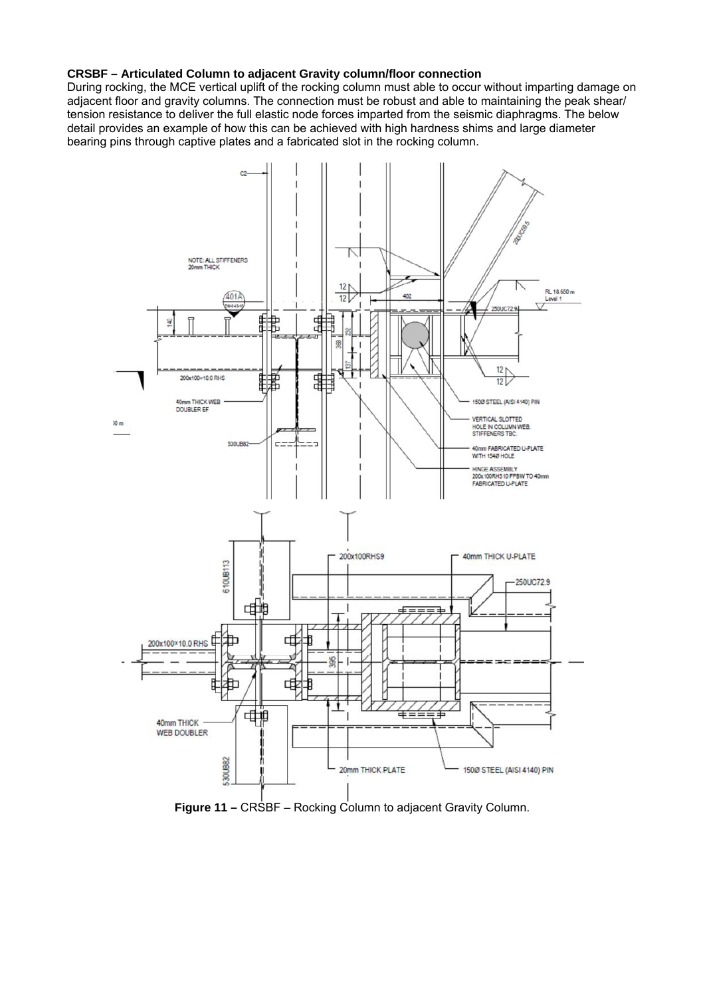#### **CRSBF – Articulated Column to adjacent Gravity column/floor connection**

During rocking, the MCE vertical uplift of the rocking column must able to occur without imparting damage on adjacent floor and gravity columns. The connection must be robust and able to maintaining the peak shear/ tension resistance to deliver the full elastic node forces imparted from the seismic diaphragms. The below detail provides an example of how this can be achieved with high hardness shims and large diameter bearing pins through captive plates and a fabricated slot in the rocking column.

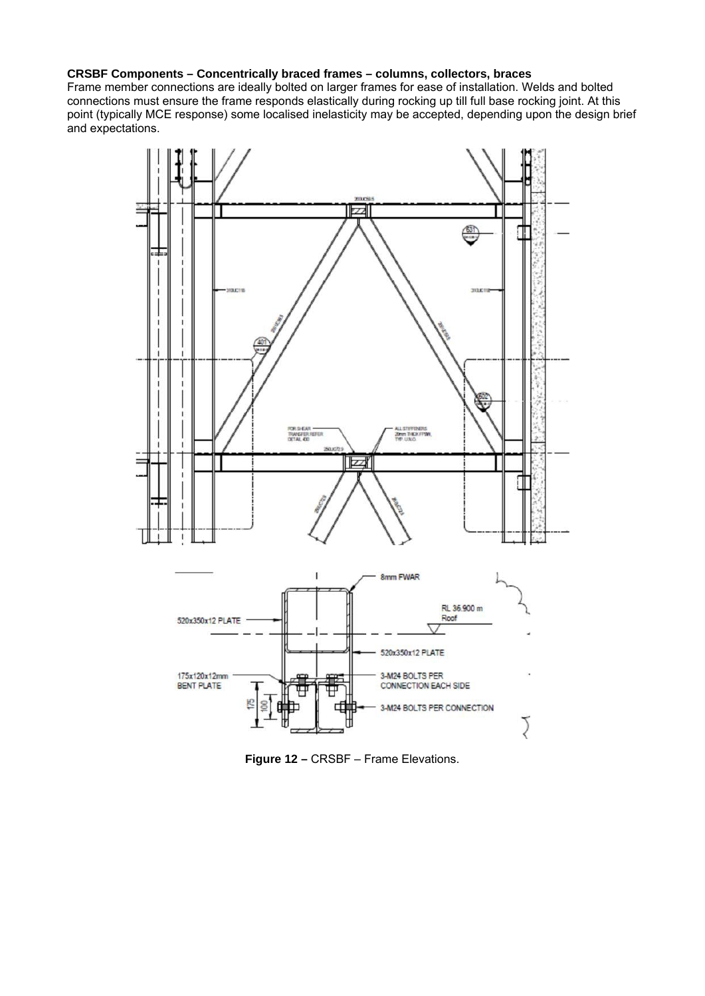# **CRSBF Components – Concentrically braced frames – columns, collectors, braces**

Frame member connections are ideally bolted on larger frames for ease of installation. Welds and bolted connections must ensure the frame responds elastically during rocking up till full base rocking joint. At this point (typically MCE response) some localised inelasticity may be accepted, depending upon the design brief and expectations.



**Figure 12 –** CRSBF – Frame Elevations.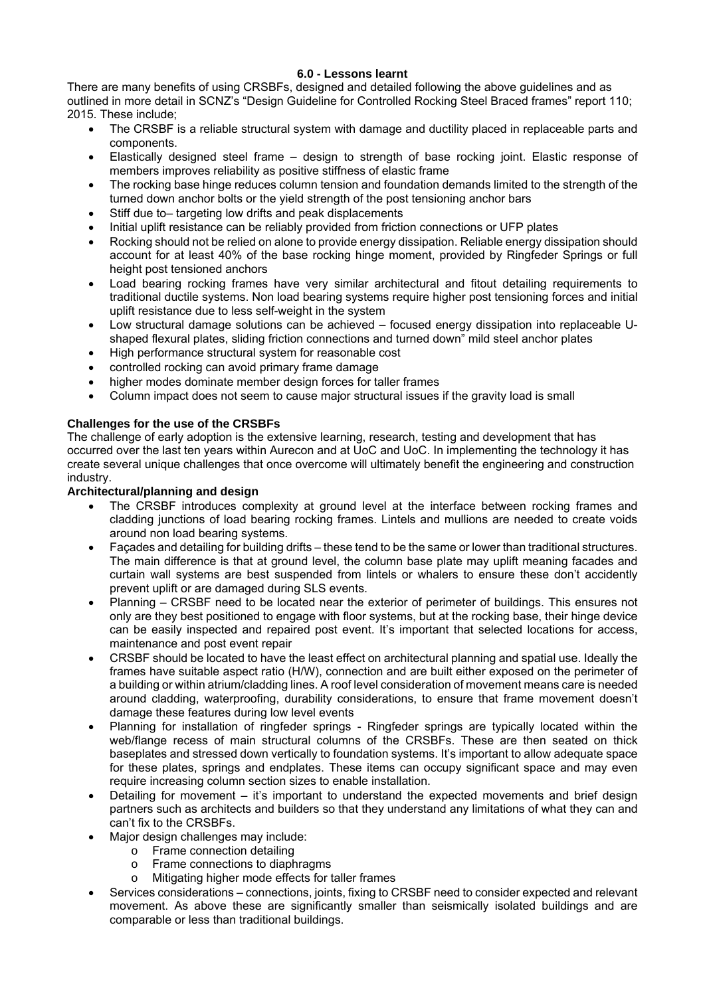# **6.0 - Lessons learnt**

There are many benefits of using CRSBFs, designed and detailed following the above guidelines and as outlined in more detail in SCNZ's "Design Guideline for Controlled Rocking Steel Braced frames" report 110; 2015. These include;

- The CRSBF is a reliable structural system with damage and ductility placed in replaceable parts and components.
- Elastically designed steel frame design to strength of base rocking joint. Elastic response of members improves reliability as positive stiffness of elastic frame
- The rocking base hinge reduces column tension and foundation demands limited to the strength of the turned down anchor bolts or the yield strength of the post tensioning anchor bars
- Stiff due to– targeting low drifts and peak displacements
- Initial uplift resistance can be reliably provided from friction connections or UFP plates
- Rocking should not be relied on alone to provide energy dissipation. Reliable energy dissipation should account for at least 40% of the base rocking hinge moment, provided by Ringfeder Springs or full height post tensioned anchors
- Load bearing rocking frames have very similar architectural and fitout detailing requirements to traditional ductile systems. Non load bearing systems require higher post tensioning forces and initial uplift resistance due to less self-weight in the system
- Low structural damage solutions can be achieved focused energy dissipation into replaceable Ushaped flexural plates, sliding friction connections and turned down" mild steel anchor plates
- High performance structural system for reasonable cost
- controlled rocking can avoid primary frame damage
- higher modes dominate member design forces for taller frames
- Column impact does not seem to cause major structural issues if the gravity load is small

# **Challenges for the use of the CRSBFs**

The challenge of early adoption is the extensive learning, research, testing and development that has occurred over the last ten years within Aurecon and at UoC and UoC. In implementing the technology it has create several unique challenges that once overcome will ultimately benefit the engineering and construction industry.

# **Architectural/planning and design**

- The CRSBF introduces complexity at ground level at the interface between rocking frames and cladding junctions of load bearing rocking frames. Lintels and mullions are needed to create voids around non load bearing systems.
- Façades and detailing for building drifts these tend to be the same or lower than traditional structures. The main difference is that at ground level, the column base plate may uplift meaning facades and curtain wall systems are best suspended from lintels or whalers to ensure these don't accidently prevent uplift or are damaged during SLS events.
- Planning CRSBF need to be located near the exterior of perimeter of buildings. This ensures not only are they best positioned to engage with floor systems, but at the rocking base, their hinge device can be easily inspected and repaired post event. It's important that selected locations for access, maintenance and post event repair
- CRSBF should be located to have the least effect on architectural planning and spatial use. Ideally the frames have suitable aspect ratio (H/W), connection and are built either exposed on the perimeter of a building or within atrium/cladding lines. A roof level consideration of movement means care is needed around cladding, waterproofing, durability considerations, to ensure that frame movement doesn't damage these features during low level events
- Planning for installation of ringfeder springs Ringfeder springs are typically located within the web/flange recess of main structural columns of the CRSBFs. These are then seated on thick baseplates and stressed down vertically to foundation systems. It's important to allow adequate space for these plates, springs and endplates. These items can occupy significant space and may even require increasing column section sizes to enable installation.
- Detailing for movement it's important to understand the expected movements and brief design partners such as architects and builders so that they understand any limitations of what they can and can't fix to the CRSBFs.
- Major design challenges may include:
	- o Frame connection detailing
	- o Frame connections to diaphragms
	- o Mitigating higher mode effects for taller frames
- Services considerations connections, joints, fixing to CRSBF need to consider expected and relevant movement. As above these are significantly smaller than seismically isolated buildings and are comparable or less than traditional buildings.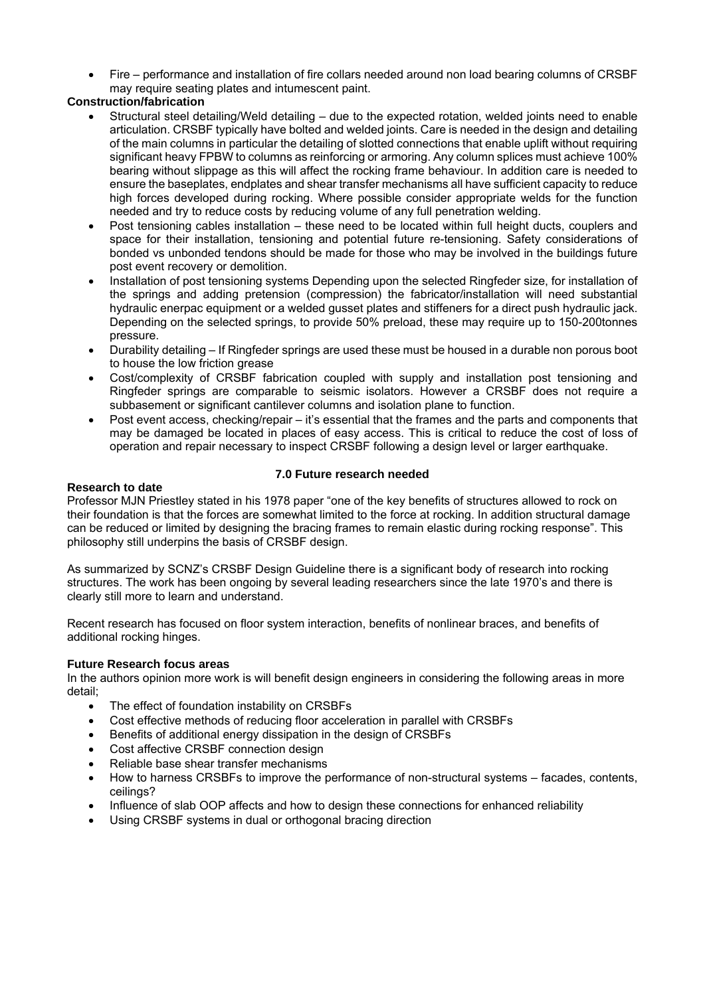Fire – performance and installation of fire collars needed around non load bearing columns of CRSBF may require seating plates and intumescent paint.

# **Construction/fabrication**

- Structural steel detailing/Weld detailing due to the expected rotation, welded joints need to enable articulation. CRSBF typically have bolted and welded joints. Care is needed in the design and detailing of the main columns in particular the detailing of slotted connections that enable uplift without requiring significant heavy FPBW to columns as reinforcing or armoring. Any column splices must achieve 100% bearing without slippage as this will affect the rocking frame behaviour. In addition care is needed to ensure the baseplates, endplates and shear transfer mechanisms all have sufficient capacity to reduce high forces developed during rocking. Where possible consider appropriate welds for the function needed and try to reduce costs by reducing volume of any full penetration welding.
- Post tensioning cables installation these need to be located within full height ducts, couplers and space for their installation, tensioning and potential future re-tensioning. Safety considerations of bonded vs unbonded tendons should be made for those who may be involved in the buildings future post event recovery or demolition.
- Installation of post tensioning systems Depending upon the selected Ringfeder size, for installation of the springs and adding pretension (compression) the fabricator/installation will need substantial hydraulic enerpac equipment or a welded gusset plates and stiffeners for a direct push hydraulic jack. Depending on the selected springs, to provide 50% preload, these may require up to 150-200tonnes pressure.
- Durability detailing If Ringfeder springs are used these must be housed in a durable non porous boot to house the low friction grease
- Cost/complexity of CRSBF fabrication coupled with supply and installation post tensioning and Ringfeder springs are comparable to seismic isolators. However a CRSBF does not require a subbasement or significant cantilever columns and isolation plane to function.
- Post event access, checking/repair it's essential that the frames and the parts and components that may be damaged be located in places of easy access. This is critical to reduce the cost of loss of operation and repair necessary to inspect CRSBF following a design level or larger earthquake.

# **Research to date**

# **7.0 Future research needed**

Professor MJN Priestley stated in his 1978 paper "one of the key benefits of structures allowed to rock on their foundation is that the forces are somewhat limited to the force at rocking. In addition structural damage can be reduced or limited by designing the bracing frames to remain elastic during rocking response". This philosophy still underpins the basis of CRSBF design.

As summarized by SCNZ's CRSBF Design Guideline there is a significant body of research into rocking structures. The work has been ongoing by several leading researchers since the late 1970's and there is clearly still more to learn and understand.

Recent research has focused on floor system interaction, benefits of nonlinear braces, and benefits of additional rocking hinges.

# **Future Research focus areas**

In the authors opinion more work is will benefit design engineers in considering the following areas in more detail;

- The effect of foundation instability on CRSBFs
- Cost effective methods of reducing floor acceleration in parallel with CRSBFs
- Benefits of additional energy dissipation in the design of CRSBFs
- Cost affective CRSBF connection design
- Reliable base shear transfer mechanisms
- How to harness CRSBFs to improve the performance of non-structural systems facades, contents, ceilings?
- Influence of slab OOP affects and how to design these connections for enhanced reliability
- Using CRSBF systems in dual or orthogonal bracing direction